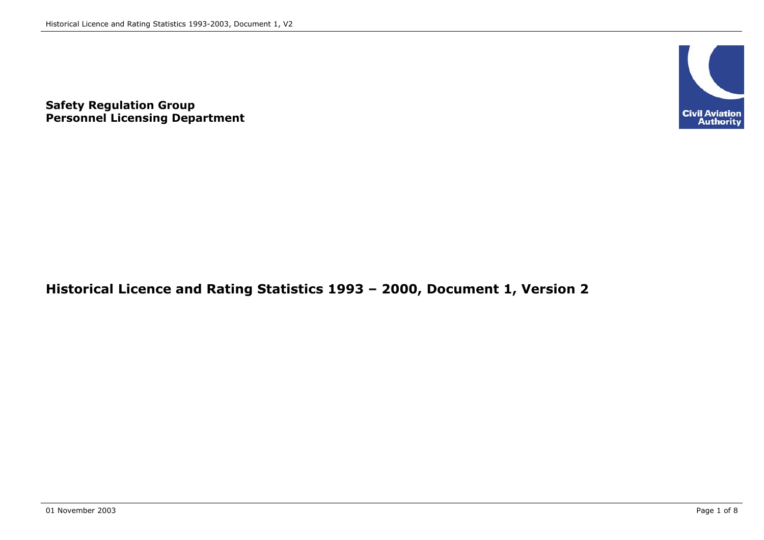

**Safety Regulation Group Personnel Licensing Department**

### **Historical Licence and Rating Statistics 1993 – 2000, Document 1, Version 2**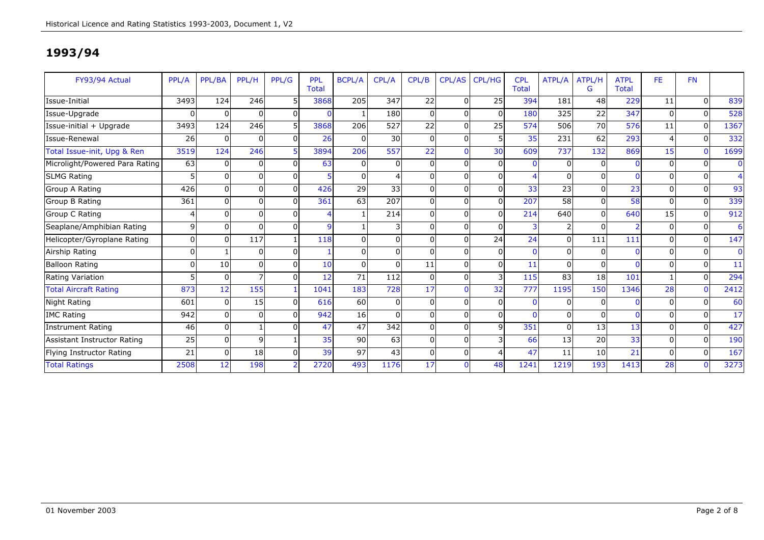| FY93/94 Actual                 | PPL/A          | PPL/BA   | PPL/H        | PPL/G        | PPL<br><b>Total</b> | <b>BCPL/A</b> | CPL/A    | CPL/B    | CPL/AS   | <b>CPL/HG</b> | <b>CPL</b><br><b>Total</b> | ATPL/A         | ATPL/H<br>G     | <b>ATPL</b><br><b>Total</b> | <b>FE</b> | <b>FN</b> |              |
|--------------------------------|----------------|----------|--------------|--------------|---------------------|---------------|----------|----------|----------|---------------|----------------------------|----------------|-----------------|-----------------------------|-----------|-----------|--------------|
| Issue-Initial                  | 3493           | 124      | 246          |              | 3868                | 205           | 347      | 22       | n        | 25            | 394                        | 181            | 48              | 229                         | 11        | $\Omega$  | 839          |
| Issue-Upgrade                  | 0              | 0        | O            | $\Omega$     | 0                   | $\mathbf{1}$  | 180      | $\Omega$ | U        | $\Omega$      | 180                        | 325            | 22              | 347                         | 0         | $\Omega$  | 528          |
| Issue-initial + Upgrade        | 3493           | 124      | 246          | 5I           | 3868                | 206           | 527      | 22       |          | 25            | 574                        | 506            | 70              | 576                         | 11        | $\Omega$  | 1367         |
| Issue-Renewal                  | 26             | 0        | O            | $\Omega$     | 26                  | $\Omega$      | 30       | $\Omega$ | O        | 5             | 35                         | 231            | 62              | 293                         | 4         | $\Omega$  | 332          |
| Total Issue-init, Upg & Ren    | 3519           | 124      | 246          |              | 3894                | 206           | 557      | 22       |          | 30            | 609                        | 737            | 132             | 869                         | 15        | $\Omega$  | 1699         |
| Microlight/Powered Para Rating | 63             | $\Omega$ | $\Omega$     | <sup>n</sup> | 63                  | $\Omega$      | $\Omega$ | $\Omega$ | U        | $\Omega$      | $\Omega$                   | $\overline{0}$ | $\Omega$        |                             |           | $\Omega$  | $\mathbf{0}$ |
| <b>SLMG Rating</b>             |                | $\Omega$ | U            | <sup>n</sup> |                     | $\Omega$      |          | $\Omega$ |          | $\Omega$      |                            | $\Omega$       | $\Omega$        |                             |           |           | 4            |
| Group A Rating                 | 426            |          |              | <sup>n</sup> | 426                 | 29            | 33       | 0        |          |               | 33                         | 23             | $\Omega$        | 23                          |           |           | 93           |
| Group B Rating                 | 361            | $\Omega$ | O            | <sup>n</sup> | 361                 | 63            | 207      | $\Omega$ |          | $\Omega$      | 207                        | 58             | $\Omega$        | 58                          | n         | $\Omega$  | 339          |
| Group C Rating                 |                |          |              |              | 4                   |               | 214      | $\Omega$ |          | $\Omega$      | 214                        | 640            | $\Omega$        | 640                         | 15        | $\Omega$  | 912          |
| Seaplane/Amphibian Rating      | $\overline{9}$ | $\Omega$ | O            | $\Omega$     | 9                   | $\mathbf{1}$  |          | $\Omega$ | $\Omega$ | $\Omega$      | 3                          | $\overline{2}$ | $\Omega$        |                             | 0         | $\Omega$  | 6            |
| Helicopter/Gyroplane Rating    | U              | $\Omega$ | 117          |              | 118                 | $\Omega$      | $\Omega$ | 0        |          | 24            | 24                         | $\overline{0}$ | 111             | 111                         |           | $\Omega$  | 147          |
| Airship Rating                 | 0              |          | $\Omega$     | <sup>n</sup> |                     | $\Omega$      | $\Omega$ | $\Omega$ | O        | $\Omega$      | $\Omega$                   | $\overline{0}$ | $\Omega$        |                             |           | $\Omega$  | $\mathbf{0}$ |
| <b>Balloon Rating</b>          | n              | 10       | U            | <sup>n</sup> | 10 <sup>1</sup>     | $\Omega$      | ŋ        | 11       |          | $\Omega$      | 11                         | $\overline{0}$ | $\Omega$        |                             |           | $\Omega$  | 11           |
| Rating Variation               | 5              | $\Omega$ |              | <sup>n</sup> | 12                  | 71            | 112      | $\Omega$ | U        | 3             | 115                        | 83             | 18              | 101                         |           | $\Omega$  | 294          |
| <b>Total Aircraft Rating</b>   | 873            | 12       | 155          |              | 1041                | 183           | 728      | 17       |          | 32            | 777                        | 1195           | 150             | 1346                        | 28        | $\Omega$  | 2412         |
| Night Rating                   | 601            |          | 15           |              | 616                 | 60            |          | $\Omega$ |          |               | $\Omega$                   | $\Omega$       | $\Omega$        |                             |           |           | 60           |
| <b>IMC Rating</b>              | 942            | 0        | O            | <sup>n</sup> | 942                 | 16            | ŋ        | $\Omega$ | U        | $\Omega$      | $\Omega$                   | $\overline{0}$ | $\Omega$        |                             | n         | $\Omega$  | 17           |
| <b>Instrument Rating</b>       | 46             | $\Omega$ |              |              | 47                  | 47            | 342      | $\Omega$ |          | q             | 351                        | $\Omega$       | 13              | 13                          |           | $\Omega$  | 427          |
| Assistant Instructor Rating    | 25             | 0        | $\mathsf{q}$ |              | 35                  | 90            | 63       | $\Omega$ | O        |               | 66                         | 13             | $\overline{20}$ | 33                          | n         | $\Omega$  | 190          |
| Flying Instructor Rating       | 21             | $\Omega$ | 18           | <sup>n</sup> | 39                  | 97            | 43       | $\Omega$ | $\Omega$ |               | 47                         | 11             | 10              | 21                          | n         | $\Omega$  | 167          |
| <b>Total Ratings</b>           | 2508           | 12       | 198          |              | 2720                | 493           | 1176     | 17       |          | 48            | 1241                       | 1219           | 193             | 1413                        | 28        |           | 3273         |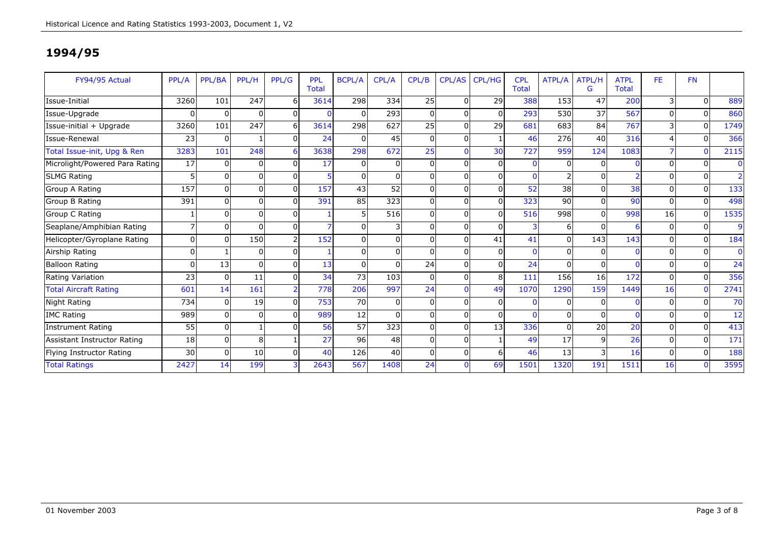| FY94/95 Actual                 | PPL/A    | PPL/BA   | PPL/H    | PPL/G          | <b>PPL</b><br><b>Total</b> | <b>BCPL/A</b>  | CPL/A    | CPL/B        | <b>CPL/AS</b> | <b>CPL/HG</b> | <b>CPL</b><br><b>Total</b> | ATPL/A   | ATPL/H<br>G | <b>ATPL</b><br>Total | FE.       | <b>FN</b> |                |
|--------------------------------|----------|----------|----------|----------------|----------------------------|----------------|----------|--------------|---------------|---------------|----------------------------|----------|-------------|----------------------|-----------|-----------|----------------|
| Issue-Initial                  | 3260     | 101      | 247      | 61             | 3614                       | 298            | 334      | <b>25</b>    | $\Omega$      | 29            | 388                        | 153      | 47          | 200                  | 3         | $\Omega$  | 889            |
| Issue-Upgrade                  | $\Omega$ | $\Omega$ | 0        | $\Omega$       | $\mathbf{0}$               | 0              | 293      | $\Omega$     | $\Omega$      | $\Omega$      | 293                        | 530      | 37          | 567                  | U         | $\Omega$  | 860            |
| Issue-initial + Upgrade        | 3260     | 101      | 247      | 6 <sup>1</sup> | 3614                       | 298            | 627      | 25           | $\Omega$      | 29            | 681                        | 683      | 84          | 767                  |           | $\Omega$  | 1749           |
| Issue-Renewal                  | 23       | $\Omega$ |          | $\Omega$       | 24                         | $\mathbf 0$    | 45       | $\Omega$     | $\Omega$      |               | 46                         | 276      | 40          | 316                  |           | $\Omega$  | 366            |
| Total Issue-init, Upg & Ren    | 3283     | 101      | 248      | 6              | 3638                       | 298            | 672      | 25           |               | 30            | 727                        | 959      | 124         | 1083                 |           | $\Omega$  | 2115           |
| Microlight/Powered Para Rating | 17       |          | $\Omega$ | $\Omega$       | 17                         | $\Omega$       |          | <sup>n</sup> | $\Omega$      | $\Omega$      | $\mathbf{0}$               | $\Omega$ | $\Omega$    |                      |           | $\Omega$  | $\bf{0}$       |
| <b>SLMG Rating</b>             |          |          | $\Omega$ | $\Omega$       | 5                          | 0              |          |              | $\Omega$      | $\Omega$      | $\mathbf{0}$               |          | $\Omega$    |                      |           | $\Omega$  | $\overline{2}$ |
| Group A Rating                 | 157      |          | 0        | $\Omega$       | 157                        | 43             | 52       |              | $\Omega$      | $\Omega$      | 52                         | 38       | $\Omega$    | 38                   |           | $\Omega$  | 133            |
| Group B Rating                 | 391      |          | $\Omega$ | $\Omega$       | 391                        | 85             | 323      | U            | $\Omega$      | $\Omega$      | 323                        | 90       | $\Omega$    | 90                   | $\Omega$  | $\Omega$  | 498            |
| Group C Rating                 |          |          | 0        | $\Omega$       |                            | 5              | 516      |              | $\Omega$      | $\Omega$      | 516                        | 998      | $\Omega$    | 998                  | 16        | $\Omega$  | 1535           |
| Seaplane/Amphibian Rating      |          | ŋ        | $\Omega$ | $\Omega$       | $\overline{7}$             | $\mathbf 0$    |          | $\Omega$     | $\Omega$      | $\Omega$      | 3                          | 6        | $\Omega$    |                      | $\Omega$  | $\Omega$  | 9              |
| Helicopter/Gyroplane Rating    |          |          | 150      | $\overline{2}$ | 152                        | 0              | $\Omega$ |              | $\Omega$      | 41            | 41                         | $\Omega$ | 143         | 143                  |           | $\Omega$  | 184            |
| Airship Rating                 | $\Omega$ |          | $\Omega$ | $\Omega$       |                            | $\overline{0}$ | $\Omega$ | U            | $\Omega$      | $\Omega$      | $\mathbf{0}$               | $\Omega$ | $\Omega$    |                      | $\Omega$  | $\Omega$  | $\mathbf{0}$   |
| <b>Balloon Rating</b>          | n        | 13       | $\Omega$ | $\Omega$       | 13                         | $\mathbf 0$    |          | 24           | $\Omega$      | $\Omega$      | 24                         | $\Omega$ | 0           |                      |           | $\Omega$  | 24             |
| Rating Variation               | 23       | $\Omega$ | 11       | $\Omega$       | 34                         | 73             | 103      | 0            | $\Omega$      | 8             | 111                        | 156      | 16          | 172                  | $\Omega$  | $\Omega$  | 356            |
| <b>Total Aircraft Rating</b>   | 601      | 14       | 161      | $\overline{2}$ | 778                        | 206            | 997      | 24           | $\Omega$      | 49            | 1070                       | 1290     | 159         | 1449                 | 16        | $\Omega$  | 2741           |
| Night Rating                   | 734      |          | 19       | $\Omega$       | 753                        | 70             |          |              | $\Omega$      |               | n                          |          |             |                      |           | $\Omega$  | 70             |
| <b>IMC Rating</b>              | 989      |          | $\Omega$ | $\Omega$       | 989                        | 12             |          | 0            | $\Omega$      | 0             | $\Omega$                   | $\Omega$ | $\Omega$    |                      | $\Omega$  | $\Omega$  | 12             |
| <b>Instrument Rating</b>       | 55       |          |          | 0I             | 56                         | 57             | 323      |              | $\Omega$      | 13            | 336                        | $\Omega$ | 20          | 20                   |           | $\Omega$  | 413            |
| Assistant Instructor Rating    | 18       | O        | 8        |                | 27                         | 96             | 48       | $\Omega$     | $\Omega$      |               | 49                         | 17       | 9           | 26                   | U         | $\Omega$  | 171            |
| Flying Instructor Rating       | 30       |          | 10       | $\Omega$       | 40                         | 126            | 40       | $\Omega$     | $\Omega$      | 6             | 46                         | 13       | 3           | 16                   | U         | $\Omega$  | 188            |
| <b>Total Ratings</b>           | 2427     | 14       | 199      |                | 2643                       | 567            | 1408     | 24           |               | 69            | 1501                       | 1320     | 191         | 1511                 | <b>16</b> |           | 3595           |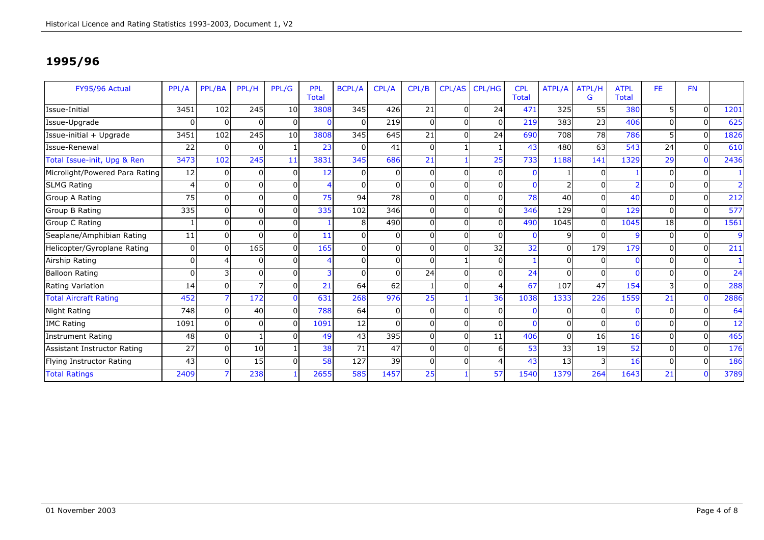| FY95/96 Actual                 | PPL/A    | PPL/BA   | PPL/H        | PPL/G           | <b>PPL</b><br><b>Total</b> | <b>BCPL/A</b>  | CPL/A    | CPL/B    | <b>CPL/AS</b> | <b>CPL/HG</b> | <b>CPL</b><br><b>Total</b> | ATPL/A   | <b>ATPL/H</b><br>G | <b>ATPL</b><br><b>Total</b> | FE.      | <b>FN</b> |                |
|--------------------------------|----------|----------|--------------|-----------------|----------------------------|----------------|----------|----------|---------------|---------------|----------------------------|----------|--------------------|-----------------------------|----------|-----------|----------------|
| Issue-Initial                  | 3451     | 102      | 245          | 10 <sup>1</sup> | 3808                       | 345            | 426      | 21       | $\Omega$      | 24            | 471                        | 325      | 55                 | 380                         |          | $\Omega$  | 1201           |
| Issue-Upgrade                  | 0        | $\Omega$ | $\Omega$     | $\Omega$        | $\mathbf 0$                | 0              | 219      | $\Omega$ | $\Omega$      | $\Omega$      | 219                        | 383      | 23                 | 406                         | 0        | $\Omega$  | 625            |
| Issue-initial + Upgrade        | 3451     | 102      | 245          | 10 <sup>1</sup> | 3808                       | 345            | 645      | 21       | $\Omega$      | 24            | 690                        | 708      | 78                 | 786                         |          | $\Omega$  | 1826           |
| Issue-Renewal                  | 22       | $\Omega$ | 0            |                 | 23                         | 0              | 41       | $\Omega$ |               |               | 43                         | 480      | 63                 | 543                         | 24       | $\Omega$  | 610            |
| Total Issue-init, Upg & Ren    | 3473     | 102      | 245          | 11              | 3831                       | 345            | 686      | 21       |               | 25            | 733                        | 1188     | 141                | 1329                        | 29       | $\Omega$  | 2436           |
| Microlight/Powered Para Rating | 12       | $\Omega$ | $\Omega$     | $\Omega$        | 12                         | $\overline{0}$ |          | 0        | $\Omega$      | $\Omega$      | $\mathbf{0}$               |          |                    |                             | 0        | $\Omega$  |                |
| <b>SLMG Rating</b>             |          |          | 0            | $\Omega$        | 4                          | $\Omega$       |          | 0        | $\Omega$      | $\Omega$      | $\mathbf 0$                |          |                    |                             |          | $\Omega$  | $\overline{2}$ |
| Group A Rating                 | 75       | O        | U            | $\Omega$        | 75                         | 94             | 78       |          | $\Omega$      | $\Omega$      | 78                         | 40       | $\Omega$           | 40                          | O        | $\Omega$  | 212            |
| Group B Rating                 | 335      |          | 0            | $\Omega$        | 335                        | 102            | 346      |          | $\Omega$      | $\Omega$      | 346                        | 129      | $\Omega$           | 129                         | 0        | $\Omega$  | 577            |
| Group C Rating                 |          | O        | ŋ            | $\Omega$        |                            | 8              | 490      | U        | $\Omega$      | $\Omega$      | 490                        | 1045     |                    | 1045                        | 18       | $\Omega$  | 1561           |
| Seaplane/Amphibian Rating      | 11       | $\Omega$ | O            | $\Omega$        | 11                         | $\mathbf 0$    | $\Omega$ | $\Omega$ | $\Omega$      | $\Omega$      | $\mathbf{0}$               | 9        | <sup>0</sup>       | $\mathbf{q}$                | 0        | $\Omega$  | $\overline{9}$ |
| Helicopter/Gyroplane Rating    | 0        | $\Omega$ | 165          | $\Omega$        | 165                        | $\mathbf 0$    | $\Omega$ | U        | $\Omega$      | 32            | 32                         | $\Omega$ | 179                | 179                         | 0        | $\Omega$  | 211            |
| Airship Rating                 | $\Omega$ |          | 0            | $\Omega$        | 4                          | $\mathbf 0$    | $\Omega$ | 0        |               | $\Omega$      |                            | $\Omega$ | $\Omega$           |                             | 0        | $\Omega$  |                |
| <b>Balloon Rating</b>          | 0        |          | 0            | $\Omega$        | 3                          | $\mathbf 0$    |          | 24       | $\Omega$      | $\Omega$      | 24                         | $\Omega$ | $\Omega$           |                             | 0        | $\Omega$  | 24             |
| Rating Variation               | 14       | 0        |              | $\Omega$        | 21                         | 64             | 62       |          | $\Omega$      |               | 67                         | 107      | 47                 | 154                         | 3        | $\Omega$  | 288            |
| <b>Total Aircraft Rating</b>   | 452      |          | 172          | $\Omega$        | 631                        | 268            | 976      | 25       |               | 36            | 1038                       | 1333     | 226                | 1559                        | 21       | $\Omega$  | 2886           |
| Night Rating                   | 748      |          | 40           | $\Omega$        | 788                        | 64             |          |          | $\Omega$      |               |                            |          |                    |                             |          | $\Omega$  | 64             |
| <b>IMC Rating</b>              | 1091     | $\Omega$ | <sup>0</sup> | $\Omega$        | 1091                       | 12             |          | U        | $\Omega$      | $\Omega$      | $\mathbf{0}$               | $\Omega$ |                    |                             |          | $\Omega$  | 12             |
| <b>Instrument Rating</b>       | 48       | $\Omega$ |              | $\Omega$        | 49                         | 43             | 395      | U        | $\Omega$      | 11            | 406                        | $\Omega$ | 16                 | 16                          |          | $\Omega$  | 465            |
| Assistant Instructor Rating    | 27       | $\Omega$ | 10           |                 | 38                         | 71             | 47       | $\Omega$ | $\Omega$      | 6             | 53                         | 33       | 19                 | 52                          | $\Omega$ | $\Omega$  | 176            |
| Flying Instructor Rating       | 43       | $\Omega$ | 15           | $\Omega$        | 58                         | 127            | 39       | $\Omega$ | $\Omega$      | Δ             | 43                         | 13       |                    | 16                          | $\Omega$ | $\Omega$  | 186            |
| <b>Total Ratings</b>           | 2409     |          | 238          |                 | 2655                       | 585            | 1457     | 25       |               | 57            | 1540                       | 1379     | 264                | 1643                        | 21       |           | 3789           |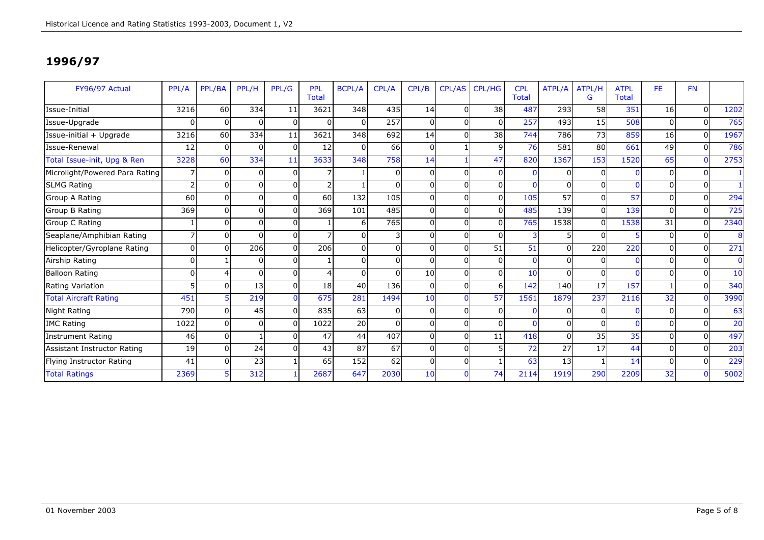| FY96/97 Actual                 | PPL/A                    | PPL/BA   | PPL/H    | PPL/G    | <b>PPL</b><br><b>Total</b> | <b>BCPL/A</b> | CPL/A    | CPL/B           | <b>CPL/AS</b> | <b>CPL/HG</b> | <b>CPL</b><br><b>Total</b> | ATPL/A   | ATPL/H<br>G     | <b>ATPL</b><br><b>Total</b> | FE.      | <b>FN</b> |              |
|--------------------------------|--------------------------|----------|----------|----------|----------------------------|---------------|----------|-----------------|---------------|---------------|----------------------------|----------|-----------------|-----------------------------|----------|-----------|--------------|
| Issue-Initial                  | 3216                     | 60       | 334      | 11       | 3621                       | 348           | 435      | 14              | $\Omega$      | 38            | 487                        | 293      | 58              | 351                         | 16       | $\Omega$  | 1202         |
| Issue-Upgrade                  | U                        | $\Omega$ | $\Omega$ | $\Omega$ | $\overline{0}$             | 0             | 257      | $\Omega$        | $\Omega$      | $\Omega$      | 257                        | 493      | 15 <sup>1</sup> | 508                         | 0        | $\Omega$  | 765          |
| Issue-initial + Upgrade        | 3216                     | 60       | 334      | 11       | 3621                       | 348           | 692      | 14              | $\Omega$      | 38            | 744                        | 786      | 73              | 859                         | 16       | $\Omega$  | 1967         |
| Issue-Renewal                  | 12                       | $\Omega$ | $\Omega$ | $\Omega$ | 12                         | 0             | 66       | $\Omega$        |               | q             | 76                         | 581      | 80              | 661                         | 49       | $\Omega$  | 786          |
| Total Issue-init, Upg & Ren    | 3228                     | 60       | 334      | 11       | 3633                       | 348           | 758      | 14              |               | 47            | 820                        | 1367     | 153             | 1520                        | 65       | $\Omega$  | 2753         |
| Microlight/Powered Para Rating |                          | $\Omega$ | $\Omega$ | $\Omega$ |                            |               |          | U               | $\Omega$      | $\Omega$      | $\mathbf{0}$               | 0        |                 |                             | 0        | $\Omega$  |              |
| <b>SLMG Rating</b>             | $\mathcal{P}$            | O        | 0        | $\Omega$ | $\overline{2}$             |               |          | U               | $\Omega$      | $\Omega$      | $\mathbf{0}$               |          |                 |                             |          | $\Omega$  |              |
| Group A Rating                 | 60                       | n        | U        | $\Omega$ | <b>60</b>                  | 132           | 105      |                 | $\Omega$      | $\Omega$      | 105                        | 57       | $\Omega$        | 57                          |          | $\Omega$  | 294          |
| Group B Rating                 | 369                      |          | 0        | $\Omega$ | 369                        | 101           | 485      |                 | $\Omega$      | $\Omega$      | 485                        | 139      | $\Omega$        | 139                         | O        | $\Omega$  | 725          |
| Group C Rating                 |                          | O        | ŋ        | $\Omega$ |                            | 6             | 765      | U               | $\Omega$      | $\Omega$      | 765                        | 1538     |                 | 1538                        | 31       | $\Omega$  | 2340         |
| Seaplane/Amphibian Rating      | $\overline{\phantom{a}}$ | $\Omega$ | ŋ        | $\Omega$ | $\overline{7}$             | $\mathbf 0$   |          | 0               | $\Omega$      | $\Omega$      | $\overline{3}$             | 5        | <sup>0</sup>    | E.                          | 0        | $\Omega$  | 8            |
| Helicopter/Gyroplane Rating    | $\Omega$                 | ∩        | 206      | $\Omega$ | 206                        | $\mathbf 0$   | $\Omega$ | U               | $\Omega$      | 51            | 51                         | $\Omega$ | 220             | 220                         | 0        | $\Omega$  | 271          |
| Airship Rating                 | $\Omega$                 |          | 0        | $\Omega$ |                            | $\mathbf 0$   | $\Omega$ | 0               | $\Omega$      | $\Omega$      | $\mathbf{0}$               | $\Omega$ | $\Omega$        |                             | 0        | $\Omega$  | $\mathbf{0}$ |
| <b>Balloon Rating</b>          | 0                        |          | $\Omega$ | $\Omega$ | $\overline{4}$             | $\mathbf 0$   |          | 10 <sup>1</sup> | $\Omega$      | $\Omega$      | 10                         | $\Omega$ |                 |                             | 0        | $\Omega$  | 10           |
| Rating Variation               |                          | $\Omega$ | 13       | $\Omega$ | 18                         | 40            | 136      | 0               | $\Omega$      | 6             | 142                        | 140      | 17              | 157                         |          | $\Omega$  | 340          |
| <b>Total Aircraft Rating</b>   | 451                      |          | 219      | $\Omega$ | 675                        | 281           | 1494     | 10              |               | 57            | 1561                       | 1879     | 237             | 2116                        | 32       | $\Omega$  | 3990         |
| <b>Night Rating</b>            | 790                      |          | 45       | $\Omega$ | 835                        | 63            |          |                 | $\Omega$      |               |                            |          |                 |                             |          | $\Omega$  | 63           |
| <b>IMC Rating</b>              | 1022                     | O        | 0        | $\Omega$ | 1022                       | 20            |          | U               | $\Omega$      | $\Omega$      | $\Omega$                   | 0        |                 |                             |          | $\Omega$  | 20           |
| <b>Instrument Rating</b>       | 46                       | $\Omega$ |          | $\Omega$ | 47                         | 44            | 407      | U               | $\Omega$      | 11            | 418                        | $\Omega$ | 35              | 35                          |          | $\Omega$  | 497          |
| Assistant Instructor Rating    | 19                       | $\Omega$ | 24       | $\Omega$ | 43                         | 87            | 67       | $\Omega$        | $\Omega$      |               | 72                         | 27       | 17              | 44                          | 0        | $\Omega$  | 203          |
| Flying Instructor Rating       | 41                       | O        | 23       |          | 65                         | 152           | 62       | 0               | $\Omega$      |               | 63                         | 13       |                 | 14                          | $\Omega$ | $\Omega$  | 229          |
| <b>Total Ratings</b>           | 2369                     |          | 312      |          | 2687                       | 647           | 2030     | 10              |               | 74            | 2114                       | 1919     | 290             | 2209                        | 32       |           | 5002         |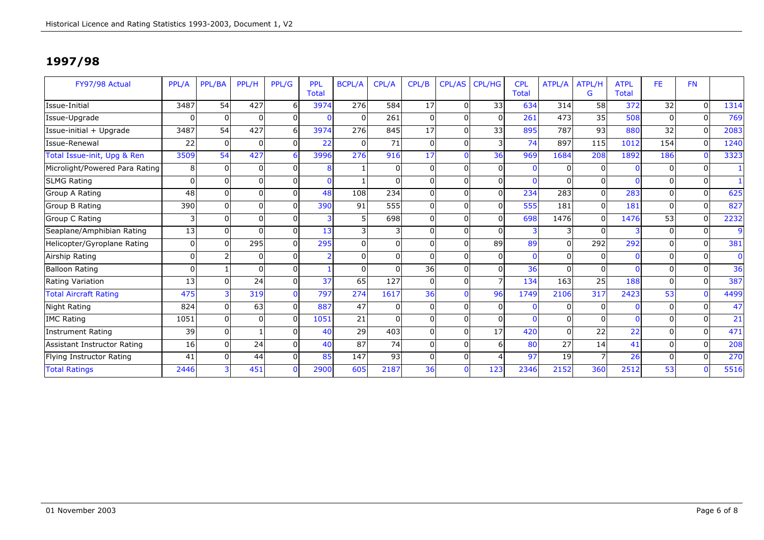| FY97/98 Actual                 | PPL/A           | PPL/BA   | PPL/H    | PPL/G    | <b>PPL</b><br><b>Total</b> | <b>BCPL/A</b> | CPL/A    | CPL/B          | <b>CPL/AS</b> | <b>CPL/HG</b>   | <b>CPL</b><br><b>Total</b> | ATPL/A       | ATPL/H<br>G  | <b>ATPL</b><br><b>Total</b> | FE.      | <b>FN</b> |             |
|--------------------------------|-----------------|----------|----------|----------|----------------------------|---------------|----------|----------------|---------------|-----------------|----------------------------|--------------|--------------|-----------------------------|----------|-----------|-------------|
| Issue-Initial                  | 3487            | 54       | 427      |          | 3974                       | 276           | 584      | 17             | $\Omega$      | 33              | 634                        | 314          | 58           | 372                         | 32       | $\Omega$  | 1314        |
| Issue-Upgrade                  | $\Omega$        | $\Omega$ |          | 0        |                            | $\mathbf{0}$  | 261      | $\overline{0}$ | $\Omega$      | n               | 261                        | 473          | 35           | 508                         | 0        | $\Omega$  | 769         |
| Issue-initial + Upgrade        | 3487            | 54       | 427      | 6        | 3974                       | 276           | 845      | 17             | $\Omega$      | 33 <sup>1</sup> | 895                        | 787          | 93           | 880                         | 32       | $\Omega$  | 2083        |
| Issue-Renewal                  | 22              | $\Omega$ | O        | $\Omega$ | 22                         | 0             | 71       | $\overline{0}$ | $\Omega$      |                 | 74                         | 897          | 115          | 1012                        | 154      | $\Omega$  | 1240        |
| Total Issue-init, Upg & Ren    | 3509            | 54       | 427      |          | 3996                       | 276           | 916      | 17             | $\Omega$      | 36              | 969                        | 1684         | 208          | 1892                        | 186      | $\Omega$  | 3323        |
| Microlight/Powered Para Rating | 8               | $\Omega$ | 0        |          |                            |               | $\Omega$ | $\overline{0}$ | $\Omega$      |                 |                            | $\mathbf{0}$ |              |                             | 0        | $\Omega$  |             |
| <b>SLMG Rating</b>             | $\Omega$        | $\Omega$ | $\Omega$ |          |                            |               | $\Omega$ | $\Omega$       | $\Omega$      | $\Omega$        |                            | $\mathbf{0}$ | $\Omega$     |                             | 0        | $\Omega$  |             |
| Group A Rating                 | 48              | $\Omega$ |          | $\Omega$ | 48                         | 108           | 234      | $\overline{0}$ | $\Omega$      | $\Omega$        | 234                        | 283          | $\Omega$     | 283                         | 0        | $\Omega$  | 625         |
| Group B Rating                 | 390             | $\Omega$ |          | n        | 390                        | 91            | 555      | 0l             | $\Omega$      |                 | 555                        | 181          | $\Omega$     | 181                         | O        | $\Omega$  | 827         |
| Group C Rating                 | 3               | $\Omega$ |          |          |                            | 5             | 698      | 0              | $\Omega$      |                 | 698                        | 1476         | <sup>0</sup> | 1476                        | 53       | $\Omega$  | 2232        |
| Seaplane/Amphibian Rating      | 13              | $\Omega$ |          |          | 13                         | 3             | 31       | $\Omega$       | $\Omega$      |                 | 3                          | 3            | <sup>0</sup> |                             | 0        | $\Omega$  | 9           |
| Helicopter/Gyroplane Rating    | $\Omega$        | $\Omega$ | 295      | $\Omega$ | 295                        | $\Omega$      | $\Omega$ | $\Omega$       | $\Omega$      | 89              | 89                         | $\Omega$     | 292          | 292                         | ŋ        | $\Omega$  | 381         |
| Airship Rating                 | οI              |          | 0        |          |                            | $\Omega$      | $\Omega$ | $\Omega$       | $\Omega$      |                 | $\Omega$                   | $\Omega$     | 0            | $\Omega$                    | O        | $\Omega$  | $\mathbf 0$ |
| <b>Balloon Rating</b>          | οI              |          | $\Omega$ | $\Omega$ |                            | $\Omega$      | $\Omega$ | 36             | $\Omega$      | $\Omega$        | 36                         | $\Omega$     | $\Omega$     |                             | 0        | $\Omega$  | 36          |
| Rating Variation               | 13 <sup>1</sup> | $\Omega$ | 24       | 0I       | 37                         | 65            | 127      | $\overline{0}$ | $\Omega$      |                 | 134                        | 163          | 25           | 188                         | 0        | $\Omega$  | 387         |
| <b>Total Aircraft Rating</b>   | 475             |          | 319      |          | 797                        | 274           | 1617     | 36             | $\Omega$      | 96              | 1749                       | 2106         | 317          | 2423                        | 53       | $\Omega$  | 4499        |
| Night Rating                   | 824             | $\Omega$ | 63       | $\Omega$ | 887                        | 47            | $\Omega$ | $\overline{0}$ | $\Omega$      |                 |                            | $\Omega$     | $\Omega$     | $\Omega$                    | O        | $\Omega$  | 47          |
| <b>IMC Rating</b>              | 1051            | $\Omega$ |          | U        | 1051                       | 21            | $\Omega$ | 0              | $\Omega$      |                 |                            | $\Omega$     |              | $\Omega$                    | ŋ        | $\Omega$  | 21          |
| Instrument Rating              | 39              | $\Omega$ |          |          | 40                         | 29            | 403      | 0              | $\Omega$      | 17              | 420                        | $\Omega$     | 22           | 22                          | O        | $\Omega$  | 471         |
| Assistant Instructor Rating    | 16              | ΩI       | 24       |          | 40                         | 87            | 74       | $\Omega$       | $\Omega$      |                 | 80                         | 27           | 14           | 41                          | O        | $\Omega$  | 208         |
| Flying Instructor Rating       | 41              | $\Omega$ | 44       |          | 85                         | 147           | 93       | $\Omega$       | $\Omega$      |                 | 97                         | 19           |              | 26                          | $\Omega$ | $\Omega$  | 270         |
| <b>Total Ratings</b>           | 2446            |          | 451      |          | 2900                       | 605           | 2187     | 36             | $\Omega$      | 123             | 2346                       | 2152         | 360          | 2512                        | 53       | $\Omega$  | 5516        |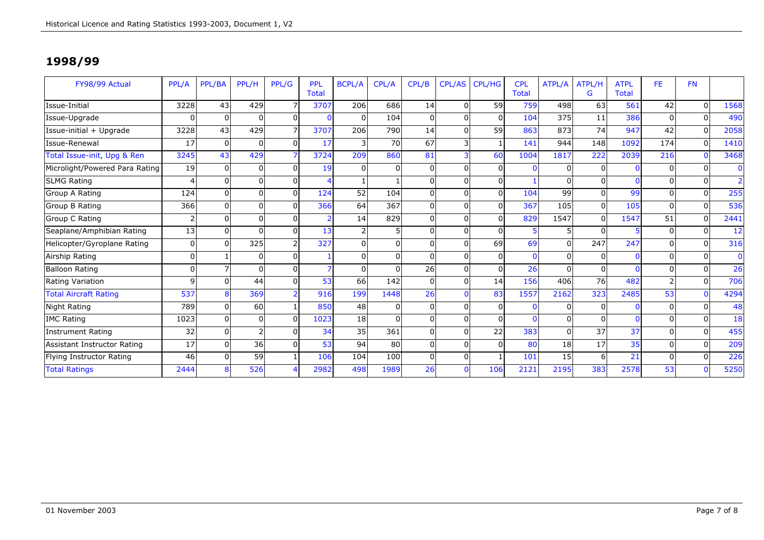| FY98/99 Actual                 | PPL/A        | PPL/BA   | PPL/H    | PPL/G          | <b>PPL</b><br><b>Total</b> | <b>BCPL/A</b>   | CPL/A    | CPL/B | CPL/AS   | <b>CPL/HG</b> | <b>CPL</b><br><b>Total</b> | ATPL/A   | <b>ATPL/H</b><br>G | <b>ATPL</b><br><b>Total</b> | FE.           | <b>FN</b> |                |
|--------------------------------|--------------|----------|----------|----------------|----------------------------|-----------------|----------|-------|----------|---------------|----------------------------|----------|--------------------|-----------------------------|---------------|-----------|----------------|
| Issue-Initial                  | 3228         | 43       | 429      |                | 3707                       | 206             | 686      | 14    | $\Omega$ | 59            | 759                        | 498      | 63                 | 561                         | 42            | $\Omega$  | 1568           |
| Issue-Upgrade                  |              |          | 0        | $\Omega$       | 0                          | $\Omega$        | 104      | 0     | O        | 0             | 104                        | 375      | 11                 | 386                         | $\Omega$      | $\Omega$  | 490            |
| Issue-initial + Upgrade        | 3228         | 43       | 429      | 7              | 3707                       | 206             | 790      | 14    | $\Omega$ | 59            | 863                        | 873      | 74                 | 947                         | 42            | $\Omega$  | 2058           |
| Issue-Renewal                  | 17           | $\Omega$ | 0        | $\Omega$       | 17                         | 3               | 70       | 67    | 3        |               | 141                        | 944      | 148                | 1092                        | 174           | $\Omega$  | 1410           |
| Total Issue-init, Upg & Ren    | 3245         | 43       | 429      |                | 3724                       | 209             | 860      | 81    |          | 60            | 1004                       | 1817     | 222                | 2039                        | 216           | $\Omega$  | 3468           |
| Microlight/Powered Para Rating | 19           |          | $\Omega$ | $\Omega$       | 19                         | 0               |          | 0     | $\Omega$ | $\Omega$      | $\Omega$                   | $\Omega$ | $\Omega$           |                             |               | $\Omega$  | $\mathbf{0}$   |
| <b>SLMG Rating</b>             |              |          | 0        | $\Omega$       | 4                          |                 |          |       | 0        | $\Omega$      |                            |          | 0                  |                             |               | $\Omega$  | $\overline{2}$ |
| Group A Rating                 | 124          |          | $\Omega$ | $\Omega$       | 124                        | $\overline{52}$ | 104      | U     | $\Omega$ | $\Omega$      | 104                        | 99       | $\Omega$           | 99                          | U             | $\Omega$  | 255            |
| Group B Rating                 | 366          |          | 0        | $\Omega$       | 366                        | 64              | 367      |       | $\Omega$ | $\Omega$      | 367                        | 105      | $\Omega$           | 105                         | U             | $\Omega$  | 536            |
| Group C Rating                 |              |          | $\Omega$ | $\Omega$       | $\overline{2}$             | 14              | 829      |       | $\Omega$ | $\Omega$      | 829                        | 1547     | $\Omega$           | 1547                        | 51            | $\Omega$  | 2441           |
| Seaplane/Amphibian Rating      | 13           |          | $\Omega$ | $\Omega$       | 13                         | 2               |          |       | $\Omega$ | <sup>0</sup>  | 5                          |          | $\Omega$           |                             | U             | $\Omega$  | 12             |
| Helicopter/Gyroplane Rating    |              |          | 325      | $\overline{2}$ | 327                        | $\Omega$        | $\Omega$ |       | $\Omega$ | 69            | 69                         | $\Omega$ | 247                | 247                         | U             | $\Omega$  | 316            |
| Airship Rating                 | U            |          | $\Omega$ | $\Omega$       |                            | $\mathbf 0$     | $\Omega$ | U     | $\Omega$ | 0             | $\mathbf{0}$               | $\Omega$ | 0                  |                             | U             | $\Omega$  | $\mathbf 0$    |
| <b>Balloon Rating</b>          | 0            |          | 0        | $\Omega$       | 7                          | $\Omega$        |          | 26    | $\Omega$ | $\Omega$      | 26                         | $\Omega$ | $\Omega$           |                             |               | $\Omega$  | 26             |
| Rating Variation               | $\mathbf{Q}$ |          | 44       | $\Omega$       | 53                         | 66              | 142      | 0     | $\Omega$ | 14            | 156                        | 406      | 76                 | 482                         | $\mathcal{P}$ | $\Omega$  | 706            |
| <b>Total Aircraft Rating</b>   | 537          |          | 369      | $\overline{2}$ | 916                        | 199             | 1448     | 26    |          | 83            | 1557                       | 2162     | 323                | 2485                        | 53            | $\Omega$  | 4294           |
| Night Rating                   | 789          |          | 60       |                | 850                        | 48              |          |       | $\Omega$ | 0             | $\Omega$                   | 0        |                    |                             |               | $\Omega$  | 48             |
| <b>IMC Rating</b>              | 1023         |          | 0        | $\Omega$       | 1023                       | 18              |          |       | $\Omega$ | 0             | n                          | $\Omega$ | $\Omega$           |                             |               | $\Omega$  | 18             |
| <b>Instrument Rating</b>       | 32           |          |          | $\Omega$       | 34                         | 35              | 361      |       | $\Omega$ | 22            | 383                        | $\Omega$ | 37                 | 37                          |               | $\Omega$  | 455            |
| Assistant Instructor Rating    | 17           |          | 36       | 0I             | 53                         | 94              | 80       |       | $\Omega$ | <sup>0</sup>  | 80                         | 18       | 17                 | 35                          | U             | $\Omega$  | 209            |
| Flying Instructor Rating       | 46           |          | 59       |                | 106                        | 104             | 100      | U     | $\Omega$ |               | 101                        | 15       | 6                  | 21                          | U             | $\Omega$  | 226            |
| <b>Total Ratings</b>           | 2444         |          | 526      |                | 2982                       | 498             | 1989     | 26    | $\Omega$ | 106           | 2121                       | 2195     | 383                | 2578                        | 53            | $\Omega$  | 5250           |